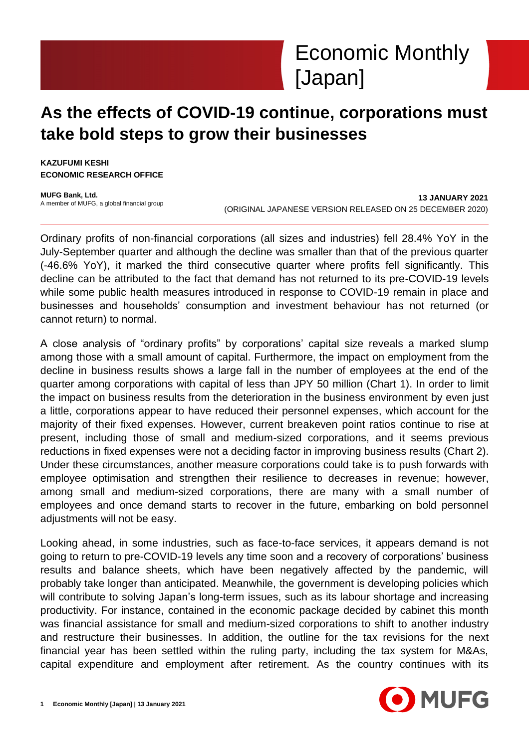

# **As the effects of COVID-19 continue, corporations must take bold steps to grow their businesses**

**KAZUFUMI KESHI ECONOMIC RESEARCH OFFICE**

**MUFG Bank, Ltd.** A member of MUFG, a global financial group

**13 JANUARY 2021** (ORIGINAL JAPANESE VERSION RELEASED ON 25 DECEMBER 2020)

Ordinary profits of non-financial corporations (all sizes and industries) fell 28.4% YoY in the July-September quarter and although the decline was smaller than that of the previous quarter (-46.6% YoY), it marked the third consecutive quarter where profits fell significantly. This decline can be attributed to the fact that demand has not returned to its pre-COVID-19 levels while some public health measures introduced in response to COVID-19 remain in place and businesses and households' consumption and investment behaviour has not returned (or cannot return) to normal.

A close analysis of "ordinary profits" by corporations' capital size reveals a marked slump among those with a small amount of capital. Furthermore, the impact on employment from the decline in business results shows a large fall in the number of employees at the end of the quarter among corporations with capital of less than JPY 50 million (Chart 1). In order to limit the impact on business results from the deterioration in the business environment by even just a little, corporations appear to have reduced their personnel expenses, which account for the majority of their fixed expenses. However, current breakeven point ratios continue to rise at present, including those of small and medium-sized corporations, and it seems previous reductions in fixed expenses were not a deciding factor in improving business results (Chart 2). Under these circumstances, another measure corporations could take is to push forwards with employee optimisation and strengthen their resilience to decreases in revenue; however, among small and medium-sized corporations, there are many with a small number of employees and once demand starts to recover in the future, embarking on bold personnel adjustments will not be easy.

Looking ahead, in some industries, such as face-to-face services, it appears demand is not going to return to pre-COVID-19 levels any time soon and a recovery of corporations' business results and balance sheets, which have been negatively affected by the pandemic, will probably take longer than anticipated. Meanwhile, the government is developing policies which will contribute to solving Japan's long-term issues, such as its labour shortage and increasing productivity. For instance, contained in the economic package decided by cabinet this month was financial assistance for small and medium-sized corporations to shift to another industry and restructure their businesses. In addition, the outline for the tax revisions for the next financial year has been settled within the ruling party, including the tax system for M&As, capital expenditure and employment after retirement. As the country continues with its

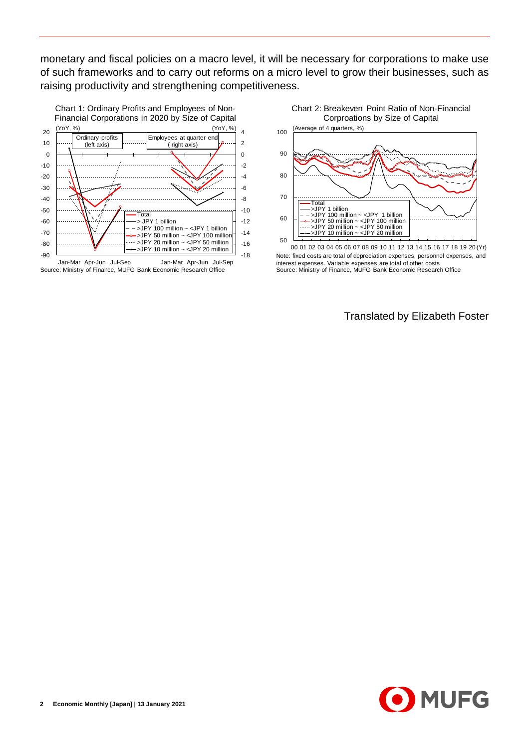monetary and fiscal policies on a macro level, it will be necessary for corporations to make use of such frameworks and to carry out reforms on a micro level to grow their businesses, such as raising productivity and strengthening competitiveness.



Source: Ministry of Finance, MUFG Bank Economic Research Office





Note: fixed costs are total of depreciation expenses, personnel expenses, and interest expenses. Variable expenses are total of other costs Source: Ministry of Finance, MUFG Bank Economic Research Office

Translated by Elizabeth Foster

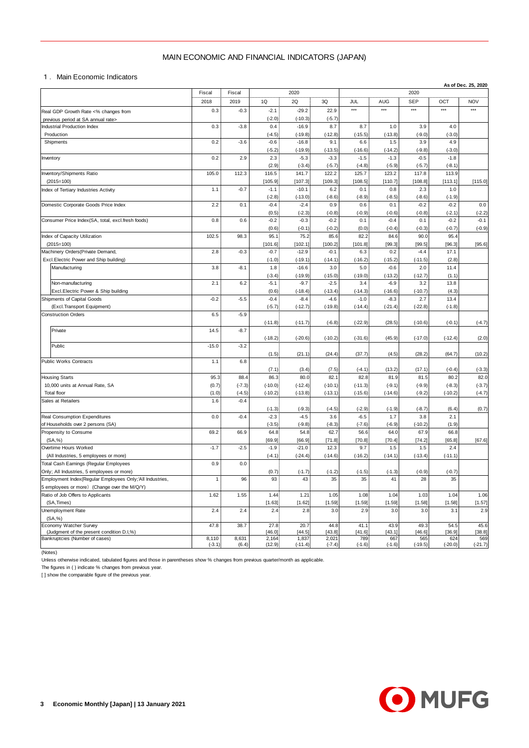## MAIN ECONOMIC AND FINANCIAL INDICATORS (JAPAN)

|                                                                                                          | MAIN ECONOMIC AND FINANCIAL INDICATORS (JAPAN) |                |                    |                      |                     |                     |                     |                      |                    |                     |  |
|----------------------------------------------------------------------------------------------------------|------------------------------------------------|----------------|--------------------|----------------------|---------------------|---------------------|---------------------|----------------------|--------------------|---------------------|--|
| 1. Main Economic Indicators                                                                              |                                                |                |                    |                      |                     |                     |                     |                      |                    |                     |  |
|                                                                                                          | Fiscal                                         | Fiscal         |                    | 2020                 |                     |                     |                     | 2020                 |                    | As of Dec. 25, 2020 |  |
|                                                                                                          | 2018                                           | 2019           | 1Q                 | 2Q                   | 3Q                  | JUL                 | AUG                 | <b>SEP</b>           | OCT                | <b>NOV</b>          |  |
| Real GDP Growth Rate <% changes from                                                                     | 0.3                                            | $-0.3$         | $-2.1$             | $-29.2$              | 22.9                | $***$               | $***$               | $***$                | $***$              | ***                 |  |
| previous period at SA annual rate><br><b>Industrial Production Index</b>                                 | 0.3                                            | $-3.8$         | $(-2.0)$<br>0.4    | $(-10.3)$<br>$-16.9$ | $(-5.7)$<br>8.7     | 8.7                 | 1.0                 | 3.9                  | 4.0                |                     |  |
| Production                                                                                               |                                                |                | $(-4.5)$           | $(-19.8)$            | $(-12.8)$           | $(-15.5)$           | $(-13.8)$           | $(-9.0)$             | $(-3.0)$           |                     |  |
| Shipments                                                                                                | 0.2                                            | $-3.6$         | $-0.6$             | $-16.8$              | 9.1                 | 6.6                 | 1.5                 | 3.9                  | 4.9                |                     |  |
| Inventory                                                                                                | 0.2                                            | 2.9            | $(-5.2)$<br>2.3    | $(-19.9)$<br>$-5.3$  | $(-13.5)$<br>$-3.3$ | $(-16.6)$<br>$-1.5$ | $(-14.2)$<br>$-1.3$ | $(-9.8)$<br>$-0.5$   | $(-3.0)$<br>$-1.8$ |                     |  |
|                                                                                                          |                                                |                | (2.9)              | $(-3.4)$             | $(-5.7)$            | $(-4.8)$            | $(-5.9)$            | $(-5.7)$             | $(-8.1)$           |                     |  |
| Inventory/Shipments Ratio                                                                                | 105.0                                          | 112.3          | 116.5              | 141.7                | 122.2               | 125.7               | 123.2               | 117.8                | 113.9              |                     |  |
| $(2015=100)$                                                                                             |                                                |                | [105.9]            | [107.3]              | [109.3]             | [108.5]             | [110.7]             | [108.8]              | [113.1]            | [115.0]             |  |
| Index of Tertiary Industries Activity                                                                    | 1.1                                            | $-0.7$         | $-1.1$<br>$(-2.8)$ | $-10.1$<br>$(-13.0)$ | 6.2<br>$(-8.6)$     | 0.1<br>$(-8.9)$     | 0.8<br>$(-8.5)$     | 2.3<br>$(-8.6)$      | 1.0<br>$(-1.9)$    |                     |  |
| Domestic Corporate Goods Price Index                                                                     | 2.2                                            | 0.1            | $-0.4$             | $-2.4$               | 0.9                 | 0.6                 | 0.1                 | $-0.2$               | $-0.2$             | 0.0                 |  |
|                                                                                                          |                                                |                | (0.5)              | $(-2.3)$             | $(-0.8)$            | $(-0.9)$            | $(-0.6)$            | $(-0.8)$             | $(-2.1)$           | $(-2.2)$            |  |
| Consumer Price Index(SA, total, excl.fresh foods)                                                        | 0.8                                            | 0.6            | $-0.2$<br>(0.6)    | $-0.3$<br>$(-0.1)$   | $-0.2$<br>$(-0.2)$  | 0.1<br>(0.0)        | $-0.4$<br>$(-0.4)$  | 0.1<br>$(-0.3)$      | $-0.2$<br>$(-0.7)$ | $-0.1$<br>$(-0.9)$  |  |
| Index of Capacity Utilization                                                                            | 102.5                                          | 98.3           | 95.1               | 75.2                 | 85.6                | 82.2                | 84.6                | 90.0                 | 95.4               |                     |  |
| $(2015=100)$                                                                                             |                                                |                | [101.6]            | [102.1]              | [100.2]             | [101.8]             | [99.3]              | [99.5]               | [96.3]             | [95.6]              |  |
| Machinery Orders (Private Demand,                                                                        | 2.8                                            | $-0.3$         | $-0.7$             | $-12.9$              | $-0.1$              | 6.3                 | 0.2                 | $-4.4$               | 17.1               |                     |  |
| Excl.Electric Power and Ship building)<br>Manufacturing                                                  | 3.8                                            | $-8.1$         | $(-1.0)$<br>1.8    | $(-19.1)$<br>$-16.6$ | $(-14.1)$<br>3.0    | $(-16.2)$<br>5.0    | $(-15.2)$<br>$-0.6$ | $(-11.5)$<br>2.0     | (2.8)<br>11.4      |                     |  |
|                                                                                                          |                                                |                | $(-3.4)$           | $(-19.9)$            | $(-15.0)$           | $(-19.0)$           | $(-13.2)$           | $(-12.7)$            | (1.1)              |                     |  |
| Non-manufacturing                                                                                        | 2.1                                            | 6.2            | $-5.1$             | $-9.7$               | $-2.5$              | 3.4                 | $-6.9$              | 3.2                  | 13.8               |                     |  |
| Excl. Electric Power & Ship building                                                                     |                                                |                | (0.6)              | $(-18.4)$            | $(-13.4)$           | $(-14.3)$           | $(-16.6)$           | $(-10.7)$            | (4.3)              |                     |  |
| Shipments of Capital Goods<br>(Excl.Transport Equipment)                                                 | $-0.2$                                         | $-5.5$         | $-0.4$<br>$(-5.7)$ | $-8.4$<br>$(-12.7)$  | $-4.6$<br>$(-19.8)$ | $-1.0$<br>$(-14.4)$ | $-8.3$<br>$(-21.4)$ | 2.7<br>$(-22.8)$     | 13.4<br>$(-1.8)$   |                     |  |
| <b>Construction Orders</b>                                                                               | 6.5                                            | $-5.9$         |                    |                      |                     |                     |                     |                      |                    |                     |  |
|                                                                                                          |                                                |                | $(-11.8)$          | $(-11.7)$            | $(-6.8)$            | $(-22.9)$           | (28.5)              | $(-10.6)$            | $(-0.1)$           | $(-4.7)$            |  |
| Private                                                                                                  | 14.5                                           | $-8.7$         |                    |                      |                     |                     |                     |                      |                    |                     |  |
| Public                                                                                                   | $-15.0$                                        | $-3.2$         | $(-18.2)$          | $(-20.6)$            | $(-10.2)$           | $(-31.6)$           | (45.9)              | $(-17.0)$            | $(-12.4)$          | (2.0)               |  |
|                                                                                                          |                                                |                | (1.5)              | (21.1)               | (24.4)              | (37.7)              | (4.5)               | (28.2)               | (64.7)             | (10.2)              |  |
| Public Works Contracts                                                                                   | 1.1                                            | 6.8            |                    |                      |                     |                     |                     |                      |                    |                     |  |
| <b>Housing Starts</b>                                                                                    | 95.3                                           | 88.4           | (7.1)<br>86.3      | (3.4)<br>80.0        | (7.5)<br>82.1       | $(-4.1)$<br>82.8    | (13.2)<br>81.9      | (17.1)<br>81.5       | $(-0.4)$<br>80.2   | $(-3.3)$<br>82.0    |  |
| 10,000 units at Annual Rate, SA                                                                          | (0.7)                                          | $(-7.3)$       | $(-10.0)$          | $(-12.4)$            | $(-10.1)$           | $(-11.3)$           | $(-9.1)$            | $(-9.9)$             | $(-8.3)$           | $(-3.7)$            |  |
| Total floor                                                                                              | (1.0)                                          | $(-4.5)$       | $(-10.2)$          | $(-13.8)$            | $(-13.1)$           | $(-15.6)$           | $(-14.6)$           | $(-9.2)$             | $(-10.2)$          | $(-4.7)$            |  |
| Sales at Retailers                                                                                       | 1.6                                            | $-0.4$         |                    |                      |                     |                     |                     |                      |                    |                     |  |
| Real Consumption Expenditures                                                                            | 0.0                                            | $-0.4$         | $(-1.3)$<br>$-2.3$ | $(-9.3)$<br>$-4.5$   | $(-4.5)$<br>3.6     | $(-2.9)$<br>$-6.5$  | $(-1.9)$<br>1.7     | $(-8.7)$<br>3.8      | (6.4)<br>2.1       | (0.7)               |  |
| of Households over 2 persons (SA)                                                                        |                                                |                | $(-3.5)$           | $(-9.8)$             | $(-8.3)$            | $(-7.6)$            | $(-6.9)$            | $(-10.2)$            | (1.9)              |                     |  |
| Propensity to Consume                                                                                    | 69.2                                           | 66.9           | 64.8               | 54.8                 | 62.7                | 56.6                | 64.0                | 67.9                 | 66.8               |                     |  |
| (SA, %)<br>Overtime Hours Worked                                                                         | $-1.7$                                         | $-2.5$         | [69.9]<br>$-1.9$   | [66.9]<br>$-21.0$    | [71.8]<br>12.3      | [70.8]<br>9.7       | [70.4]              | [74.2]               | [65.8]<br>2.4      | [67.6]              |  |
| (All Industries, 5 employees or more)                                                                    |                                                |                | $(-4.1)$           | $(-24.4)$            | $(-14.6)$           | $(-16.2)$           | 1.5<br>$(-14.1)$    | $1.5\,$<br>$(-13.4)$ | $(-11.1)$          |                     |  |
| Total Cash Earnings (Regular Employees                                                                   | 0.9                                            | 0.0            |                    |                      |                     |                     |                     |                      |                    |                     |  |
| Only; All Industries, 5 employees or more)                                                               |                                                |                | (0.7)              | $(-1.7)$             | $(-1.2)$            | $(-1.5)$            | $(-1.3)$            | $(-0.9)$             | $(-0.7)$           |                     |  |
| Employment Index(Regular Employees Only;'All Industries,<br>5 employees or more) (Change over the M/Q/Y) | $\mathbf{1}$                                   | 96             | 93                 | 43                   | 35                  | 35                  | 41                  | 28                   | 35                 |                     |  |
| Ratio of Job Offers to Applicants                                                                        | 1.62                                           | 1.55           | 1.44               | 1.21                 | 1.05                | 1.08                | 1.04                | 1.03                 | 1.04               | 1.06                |  |
| (SA, Times)                                                                                              |                                                |                | [1.63]             | [1.62]               | [1.59]              | [1.59]              | [1.59]              | [1.58]               | [1.58]             | [1.57]              |  |
| Unemployment Rate                                                                                        | 2.4                                            | 2.4            | 2.4                | 2.8                  | 3.0                 | 2.9                 | 3.0                 | 3.0                  | 3.1                | 2.9                 |  |
| (SA, %)<br>Economy Watcher Survey                                                                        | 47.8                                           | 38.7           | 27.8               | 20.7                 | 44.8                | 41.1                | 43.9                | 49.3                 | 54.5               | 45.6                |  |
| (Judgment of the present condition D.I,%)                                                                |                                                |                | [46.0]             | [44.5]               | [43.8]              | [41.6]              | [43.1]              | [46.6]               | [36.9]             | [38.8]              |  |
| Bankruptcies (Number of cases)                                                                           | 8,110<br>$(-3.1)$                              | 8,631<br>(6.4) | 2,164<br>(12.9)    | 1,837<br>$(-11.4)$   | 2,021<br>$(-7.4)$   | 789<br>$(-1.6)$     | 667<br>$(-1.6)$     | 565<br>$(-19.5)$     | 624<br>$(-20.0)$   | 569<br>$(-21.7)$    |  |

(Notes)

Unless otherwise indicated, tabulated figures and those in parentheses show % changes from previous quarter/month as applicable.

The figures in ( ) indicate % changes from previous year.

[ ] show the comparable figure of the previous year.